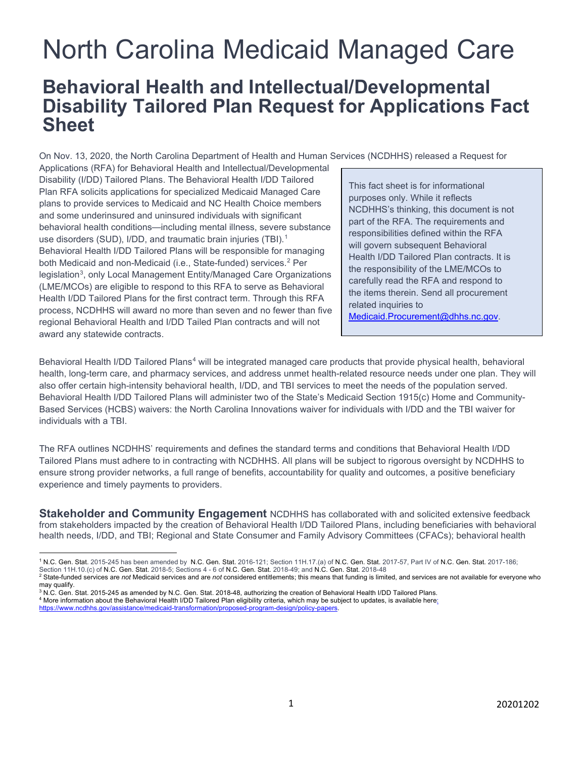# North Carolina Medicaid Managed Care

# **Behavioral Health and Intellectual/Developmental Disability Tailored Plan Request for Applications Fact Sheet**

On Nov. 13, 2020, the North Carolina Department of Health and Human Services (NCDHHS) released a Request for

Applications (RFA) for Behavioral Health and Intellectual/Developmental Disability (I/DD) Tailored Plans. The Behavioral Health I/DD Tailored Plan RFA solicits applications for specialized Medicaid Managed Care plans to provide services to Medicaid and NC Health Choice members and some underinsured and uninsured individuals with significant behavioral health conditions—including mental illness, severe substance use disorders (SUD), I/DD, and traumatic brain injuries (TBI). [1](#page-0-0) Behavioral Health I/DD Tailored Plans will be responsible for managing both Medicaid and non-Medicaid (i.e., State-funded) services.<sup>[2](#page-0-1)</sup> Per legislation<sup>[3](#page-0-2)</sup>, only Local Management Entity/Managed Care Organizations (LME/MCOs) are eligible to respond to this RFA to serve as Behavioral Health I/DD Tailored Plans for the first contract term. Through this RFA process, NCDHHS will award no more than seven and no fewer than five regional Behavioral Health and I/DD Tailed Plan contracts and will not award any statewide contracts.

This fact sheet is for informational purposes only. While it reflects NCDHHS's thinking, this document is not part of the RFA. The requirements and responsibilities defined within the RFA will govern subsequent Behavioral Health I/DD Tailored Plan contracts. It is the responsibility of the LME/MCOs to carefully read the RFA and respond to the items therein. Send all procurement related inquiries to Medicaid.Procurement@dhhs.nc.gov.

Behavioral Health I/DD Tailored Plans<sup>[4](#page-0-3)</sup> will be integrated managed care products that provide physical health, behavioral health, long-term care, and pharmacy services, and address unmet health-related resource needs under one plan. They will also offer certain high-intensity behavioral health, I/DD, and TBI services to meet the needs of the population served. Behavioral Health I/DD Tailored Plans will administer two of the State's Medicaid Section 1915(c) Home and Community-Based Services (HCBS) waivers: the North Carolina Innovations waiver for individuals with I/DD and the TBI waiver for individuals with a TBI.

The RFA outlines NCDHHS' requirements and defines the standard terms and conditions that Behavioral Health I/DD Tailored Plans must adhere to in contracting with NCDHHS. All plans will be subject to rigorous oversight by NCDHHS to ensure strong provider networks, a full range of benefits, accountability for quality and outcomes, a positive beneficiary experience and timely payments to providers.

**Stakeholder and Community Engagement** NCDHHS has collaborated with and solicited extensive feedback from stakeholders impacted by the creation of Behavioral Health I/DD Tailored Plans, including beneficiaries with behavioral health needs, I/DD, and TBI; Regional and State Consumer and Family Advisory Committees (CFACs); behavioral health

<span id="page-0-0"></span><sup>1</sup> N.C. Gen. Stat. 2015-245 has been amended by N.C. Gen. Stat. 2016-121; Section 11H.17.(a) of N.C. Gen. Stat. 2017-57, Part IV of N.C. Gen. Stat. 2017-186;

<span id="page-0-1"></span>Section 11H.10.(c) of N.C. Gen. Stat. 2018-5; Sections 4 - 6 of N.C. Gen. Stat. 2018-49; and N.C. Gen. Stat. 2018-48<br><sup>2</sup> State-funded services are *not* Medicaid services and are *not* considered entitlements; this means t may qualify.

<span id="page-0-2"></span> $3$  N.C. Gen. Stat. 2015-245 as amended by N.C. Gen. Stat. 2018-48, authorizing the creation of Behavioral Health I/DD Tailored Plans.

<span id="page-0-3"></span><sup>&</sup>lt;sup>4</sup> More information about the Behavioral Health I/DD Tailored Plan eligibility criteria, which may be subject to updates, is available here;

https://www.ncdhhs.gov/assistance/medicaid-transformation/proposed-program-design/policy-papers.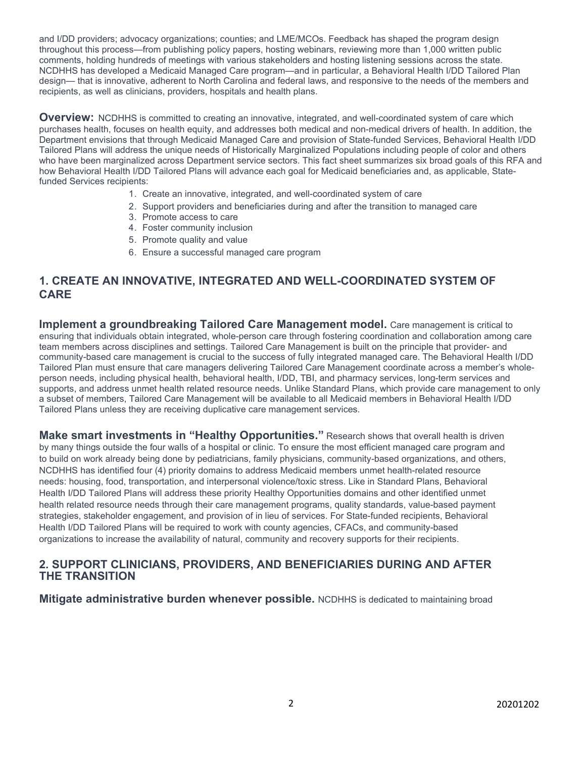and I/DD providers; advocacy organizations; counties; and LME/MCOs. Feedback has shaped the program design throughout this process—from publishing policy papers, hosting webinars, reviewing more than 1,000 written public comments, holding hundreds of meetings with various stakeholders and hosting listening sessions across the state. NCDHHS has developed a Medicaid Managed Care program—and in particular, a Behavioral Health I/DD Tailored Plan design— that is innovative, adherent to North Carolina and federal laws, and responsive to the needs of the members and recipients, as well as clinicians, providers, hospitals and health plans.

**Overview:** NCDHHS is committed to creating an innovative, integrated, and well-coordinated system of care which purchases health, focuses on health equity, and addresses both medical and non-medical drivers of health. In addition, the Department envisions that through Medicaid Managed Care and provision of State-funded Services, Behavioral Health I/DD Tailored Plans will address the unique needs of Historically Marginalized Populations including people of color and others who have been marginalized across Department service sectors. This fact sheet summarizes six broad goals of this RFA and how Behavioral Health I/DD Tailored Plans will advance each goal for Medicaid beneficiaries and, as applicable, Statefunded Services recipients:

- 1. Create an innovative, integrated, and well-coordinated system of care
- 2. Support providers and beneficiaries during and after the transition to managed care
- 3. Promote access to care
- 4. Foster community inclusion
- 5. Promote quality and value
- 6. Ensure a successful managed care program

#### **1. CREATE AN INNOVATIVE, INTEGRATED AND WELL-COORDINATED SYSTEM OF CARE**

**Implement a groundbreaking Tailored Care Management model.** Care management is critical to ensuring that individuals obtain integrated, whole-person care through fostering coordination and collaboration among care team members across disciplines and settings. Tailored Care Management is built on the principle that provider- and community-based care management is crucial to the success of fully integrated managed care. The Behavioral Health I/DD Tailored Plan must ensure that care managers delivering Tailored Care Management coordinate across a member's wholeperson needs, including physical health, behavioral health, I/DD, TBI, and pharmacy services, long-term services and supports, and address unmet health related resource needs. Unlike Standard Plans, which provide care management to only a subset of members, Tailored Care Management will be available to all Medicaid members in Behavioral Health I/DD Tailored Plans unless they are receiving duplicative care management services.

**Make smart investments in "Healthy Opportunities."** Research shows that overall health is driven by many things outside the four walls of a hospital or clinic. To ensure the most efficient managed care program and to build on work already being done by pediatricians, family physicians, community-based organizations, and others, NCDHHS has identified four (4) priority domains to address Medicaid members unmet health-related resource needs: housing, food, transportation, and interpersonal violence/toxic stress. Like in Standard Plans, Behavioral Health I/DD Tailored Plans will address these priority Healthy Opportunities domains and other identified unmet health related resource needs through their care management programs, quality standards, value-based payment strategies, stakeholder engagement, and provision of in lieu of services. For State-funded recipients, Behavioral Health I/DD Tailored Plans will be required to work with county agencies, CFACs, and community-based organizations to increase the availability of natural, community and recovery supports for their recipients.

#### **2. SUPPORT CLINICIANS, PROVIDERS, AND BENEFICIARIES DURING AND AFTER THE TRANSITION**

**Mitigate administrative burden whenever possible.** NCDHHS is dedicated to maintaining broad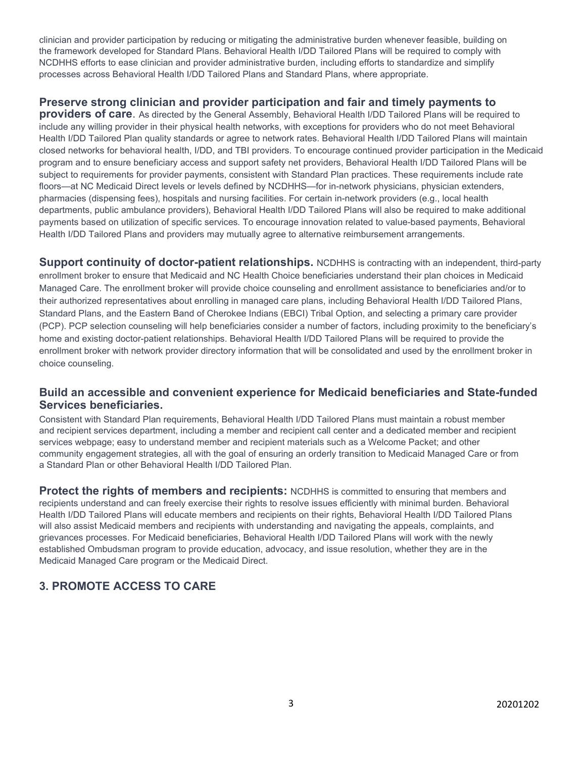clinician and provider participation by reducing or mitigating the administrative burden whenever feasible, building on the framework developed for Standard Plans. Behavioral Health I/DD Tailored Plans will be required to comply with NCDHHS efforts to ease clinician and provider administrative burden, including efforts to standardize and simplify processes across Behavioral Health I/DD Tailored Plans and Standard Plans, where appropriate.

#### **Preserve strong clinician and provider participation and fair and timely payments to**

**providers of care**. As directed by the General Assembly, Behavioral Health I/DD Tailored Plans will be required to include any willing provider in their physical health networks, with exceptions for providers who do not meet Behavioral Health I/DD Tailored Plan quality standards or agree to network rates. Behavioral Health I/DD Tailored Plans will maintain closed networks for behavioral health, I/DD, and TBI providers. To encourage continued provider participation in the Medicaid program and to ensure beneficiary access and support safety net providers, Behavioral Health I/DD Tailored Plans will be subject to requirements for provider payments, consistent with Standard Plan practices. These requirements include rate floors—at NC Medicaid Direct levels or levels defined by NCDHHS—for in-network physicians, physician extenders, pharmacies (dispensing fees), hospitals and nursing facilities. For certain in-network providers (e.g., local health departments, public ambulance providers), Behavioral Health I/DD Tailored Plans will also be required to make additional payments based on utilization of specific services*.* To encourage innovation related to value-based payments, Behavioral Health I/DD Tailored Plans and providers may mutually agree to alternative reimbursement arrangements.

**Support continuity of doctor-patient relationships.** NCDHHS is contracting with an independent, third-party enrollment broker to ensure that Medicaid and NC Health Choice beneficiaries understand their plan choices in Medicaid Managed Care. The enrollment broker will provide choice counseling and enrollment assistance to beneficiaries and/or to their authorized representatives about enrolling in managed care plans, including Behavioral Health I/DD Tailored Plans, Standard Plans, and the Eastern Band of Cherokee Indians (EBCI) Tribal Option, and selecting a primary care provider (PCP). PCP selection counseling will help beneficiaries consider a number of factors, including proximity to the beneficiary's home and existing doctor-patient relationships. Behavioral Health I/DD Tailored Plans will be required to provide the enrollment broker with network provider directory information that will be consolidated and used by the enrollment broker in choice counseling.

#### **Build an accessible and convenient experience for Medicaid beneficiaries and State-funded Services beneficiaries.**

Consistent with Standard Plan requirements, Behavioral Health I/DD Tailored Plans must maintain a robust member and recipient services department, including a member and recipient call center and a dedicated member and recipient services webpage; easy to understand member and recipient materials such as a Welcome Packet; and other community engagement strategies, all with the goal of ensuring an orderly transition to Medicaid Managed Care or from a Standard Plan or other Behavioral Health I/DD Tailored Plan.

**Protect the rights of members and recipients:** NCDHHS is committed to ensuring that members and recipients understand and can freely exercise their rights to resolve issues efficiently with minimal burden. Behavioral Health I/DD Tailored Plans will educate members and recipients on their rights, Behavioral Health I/DD Tailored Plans will also assist Medicaid members and recipients with understanding and navigating the appeals, complaints, and grievances processes. For Medicaid beneficiaries, Behavioral Health I/DD Tailored Plans will work with the newly established Ombudsman program to provide education, advocacy, and issue resolution, whether they are in the Medicaid Managed Care program or the Medicaid Direct.

# **3. PROMOTE ACCESS TO CARE**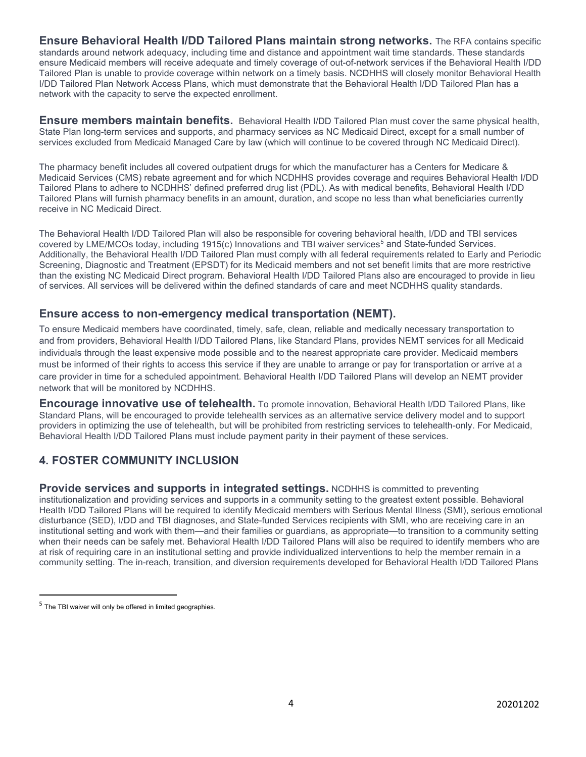**Ensure Behavioral Health I/DD Tailored Plans maintain strong networks.** The RFA contains specific standards around network adequacy, including time and distance and appointment wait time standards. These standards ensure Medicaid members will receive adequate and timely coverage of out-of-network services if the Behavioral Health I/DD Tailored Plan is unable to provide coverage within network on a timely basis. NCDHHS will closely monitor Behavioral Health I/DD Tailored Plan Network Access Plans, which must demonstrate that the Behavioral Health I/DD Tailored Plan has a network with the capacity to serve the expected enrollment.

**Ensure members maintain benefits.** Behavioral Health I/DD Tailored Plan must cover the same physical health, State Plan long-term services and supports, and pharmacy services as NC Medicaid Direct, except for a small number of services excluded from Medicaid Managed Care by law (which will continue to be covered through NC Medicaid Direct).

The pharmacy benefit includes all covered outpatient drugs for which the manufacturer has a Centers for Medicare & Medicaid Services (CMS) rebate agreement and for which NCDHHS provides coverage and requires Behavioral Health I/DD Tailored Plans to adhere to NCDHHS' defined preferred drug list (PDL). As with medical benefits, Behavioral Health I/DD Tailored Plans will furnish pharmacy benefits in an amount, duration, and scope no less than what beneficiaries currently receive in NC Medicaid Direct.

The Behavioral Health I/DD Tailored Plan will also be responsible for covering behavioral health, I/DD and TBI services covered by LME/MCOs today, including 191[5](#page-3-0)(c) Innovations and TBI waiver services<sup>5</sup> and State-funded Services. Additionally, the Behavioral Health I/DD Tailored Plan must comply with all federal requirements related to Early and Periodic Screening, Diagnostic and Treatment (EPSDT) for its Medicaid members and not set benefit limits that are more restrictive than the existing NC Medicaid Direct program. Behavioral Health I/DD Tailored Plans also are encouraged to provide in lieu of services. All services will be delivered within the defined standards of care and meet NCDHHS quality standards.

#### **Ensure access to non-emergency medical transportation (NEMT).**

To ensure Medicaid members have coordinated, timely, safe, clean, reliable and medically necessary transportation to and from providers, Behavioral Health I/DD Tailored Plans, like Standard Plans, provides NEMT services for all Medicaid individuals through the least expensive mode possible and to the nearest appropriate care provider. Medicaid members must be informed of their rights to access this service if they are unable to arrange or pay for transportation or arrive at a care provider in time for a scheduled appointment. Behavioral Health I/DD Tailored Plans will develop an NEMT provider network that will be monitored by NCDHHS.

**Encourage innovative use of telehealth.** To promote innovation, Behavioral Health I/DD Tailored Plans, like Standard Plans, will be encouraged to provide telehealth services as an alternative service delivery model and to support providers in optimizing the use of telehealth, but will be prohibited from restricting services to telehealth-only. For Medicaid, Behavioral Health I/DD Tailored Plans must include payment parity in their payment of these services.

# **4. FOSTER COMMUNITY INCLUSION**

**Provide services and supports in integrated settings.** NCDHHS is committed to preventing institutionalization and providing services and supports in a community setting to the greatest extent possible. Behavioral Health I/DD Tailored Plans will be required to identify Medicaid members with Serious Mental Illness (SMI), serious emotional disturbance (SED), I/DD and TBI diagnoses, and State-funded Services recipients with SMI, who are receiving care in an institutional setting and work with them—and their families or guardians, as appropriate—to transition to a community setting when their needs can be safely met. Behavioral Health I/DD Tailored Plans will also be required to identify members who are at risk of requiring care in an institutional setting and provide individualized interventions to help the member remain in a community setting. The in-reach, transition, and diversion requirements developed for Behavioral Health I/DD Tailored Plans

<span id="page-3-0"></span> $5$  The TBI waiver will only be offered in limited geographies.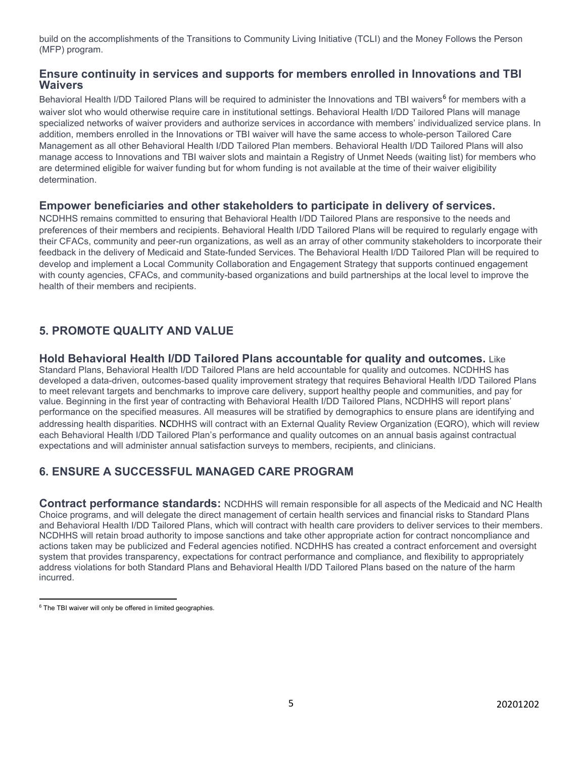build on the accomplishments of the Transitions to Community Living Initiative (TCLI) and the Money Follows the Person (MFP) program.

#### **Ensure continuity in services and supports for members enrolled in Innovations and TBI Waivers**

Behavioral Health I/DD Tailored Plans will be required to administer the Innovations and TBI waivers<sup>[6](#page-4-0)</sup> for members with a waiver slot who would otherwise require care in institutional settings. Behavioral Health I/DD Tailored Plans will manage specialized networks of waiver providers and authorize services in accordance with members' individualized service plans. In addition, members enrolled in the Innovations or TBI waiver will have the same access to whole-person Tailored Care Management as all other Behavioral Health I/DD Tailored Plan members. Behavioral Health I/DD Tailored Plans will also manage access to Innovations and TBI waiver slots and maintain a Registry of Unmet Needs (waiting list) for members who are determined eligible for waiver funding but for whom funding is not available at the time of their waiver eligibility determination.

#### **Empower beneficiaries and other stakeholders to participate in delivery of services.**

NCDHHS remains committed to ensuring that Behavioral Health I/DD Tailored Plans are responsive to the needs and preferences of their members and recipients. Behavioral Health I/DD Tailored Plans will be required to regularly engage with their CFACs, community and peer-run organizations, as well as an array of other community stakeholders to incorporate their feedback in the delivery of Medicaid and State-funded Services. The Behavioral Health I/DD Tailored Plan will be required to develop and implement a Local Community Collaboration and Engagement Strategy that supports continued engagement with county agencies, CFACs, and community-based organizations and build partnerships at the local level to improve the health of their members and recipients.

# **5. PROMOTE QUALITY AND VALUE**

#### **Hold Behavioral Health I/DD Tailored Plans accountable for quality and outcomes.** Like

Standard Plans, Behavioral Health I/DD Tailored Plans are held accountable for quality and outcomes. NCDHHS has developed a data-driven, outcomes-based quality improvement strategy that requires Behavioral Health I/DD Tailored Plans to meet relevant targets and benchmarks to improve care delivery, support healthy people and communities, and pay for value. Beginning in the first year of contracting with Behavioral Health I/DD Tailored Plans, NCDHHS will report plans' performance on the specified measures. All measures will be stratified by demographics to ensure plans are identifying and addressing health disparities. NCDHHS will contract with an External Quality Review Organization (EQRO), which will review each Behavioral Health I/DD Tailored Plan's performance and quality outcomes on an annual basis against contractual expectations and will administer annual satisfaction surveys to members, recipients, and clinicians.

# **6. ENSURE A SUCCESSFUL MANAGED CARE PROGRAM**

**Contract performance standards:** NCDHHS will remain responsible for all aspects of the Medicaid and NC Health Choice programs, and will delegate the direct management of certain health services and financial risks to Standard Plans and Behavioral Health I/DD Tailored Plans, which will contract with health care providers to deliver services to their members. NCDHHS will retain broad authority to impose sanctions and take other appropriate action for contract noncompliance and actions taken may be publicized and Federal agencies notified. NCDHHS has created a contract enforcement and oversight system that provides transparency, expectations for contract performance and compliance, and flexibility to appropriately address violations for both Standard Plans and Behavioral Health I/DD Tailored Plans based on the nature of the harm incurred.

<span id="page-4-0"></span><sup>&</sup>lt;sup>6</sup> The TBI waiver will only be offered in limited geographies.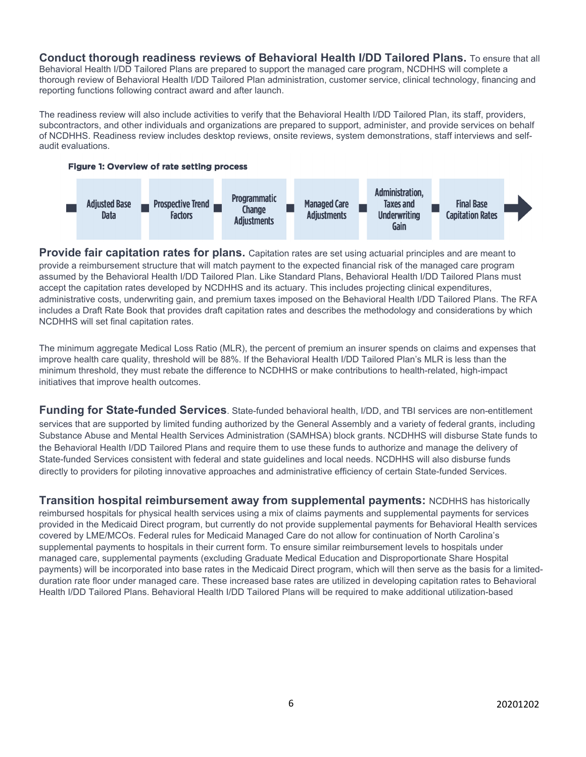**Conduct thorough readiness reviews of Behavioral Health I/DD Tailored Plans.** To ensure that all Behavioral Health I/DD Tailored Plans are prepared to support the managed care program, NCDHHS will complete a thorough review of Behavioral Health I/DD Tailored Plan administration, customer service, clinical technology, financing and reporting functions following contract award and after launch.

The readiness review will also include activities to verify that the Behavioral Health I/DD Tailored Plan, its staff, providers, subcontractors, and other individuals and organizations are prepared to support, administer, and provide services on behalf of NCDHHS. Readiness review includes desktop reviews, onsite reviews, system demonstrations, staff interviews and selfaudit evaluations.





**Provide fair capitation rates for plans.** Capitation rates are set using actuarial principles and are meant to provide a reimbursement structure that will match payment to the expected financial risk of the managed care program assumed by the Behavioral Health I/DD Tailored Plan. Like Standard Plans, Behavioral Health I/DD Tailored Plans must accept the capitation rates developed by NCDHHS and its actuary. This includes projecting clinical expenditures, administrative costs, underwriting gain, and premium taxes imposed on the Behavioral Health I/DD Tailored Plans. The RFA includes a Draft Rate Book that provides draft capitation rates and describes the methodology and considerations by which NCDHHS will set final capitation rates.

The minimum aggregate Medical Loss Ratio (MLR), the percent of premium an insurer spends on claims and expenses that improve health care quality, threshold will be 88%. If the Behavioral Health I/DD Tailored Plan's MLR is less than the minimum threshold, they must rebate the difference to NCDHHS or make contributions to health-related, high-impact initiatives that improve health outcomes.

**Funding for State-funded Services**. State-funded behavioral health, I/DD, and TBI services are non-entitlement services that are supported by limited funding authorized by the General Assembly and a variety of federal grants, including Substance Abuse and Mental Health Services Administration (SAMHSA) block grants. NCDHHS will disburse State funds to the Behavioral Health I/DD Tailored Plans and require them to use these funds to authorize and manage the delivery of State-funded Services consistent with federal and state guidelines and local needs. NCDHHS will also disburse funds directly to providers for piloting innovative approaches and administrative efficiency of certain State-funded Services.

**Transition hospital reimbursement away from supplemental payments:** NCDHHS has historically reimbursed hospitals for physical health services using a mix of claims payments and supplemental payments for services provided in the Medicaid Direct program, but currently do not provide supplemental payments for Behavioral Health services covered by LME/MCOs. Federal rules for Medicaid Managed Care do not allow for continuation of North Carolina's supplemental payments to hospitals in their current form. To ensure similar reimbursement levels to hospitals under managed care, supplemental payments (excluding Graduate Medical Education and Disproportionate Share Hospital payments) will be incorporated into base rates in the Medicaid Direct program, which will then serve as the basis for a limitedduration rate floor under managed care. These increased base rates are utilized in developing capitation rates to Behavioral Health I/DD Tailored Plans. Behavioral Health I/DD Tailored Plans will be required to make additional utilization-based